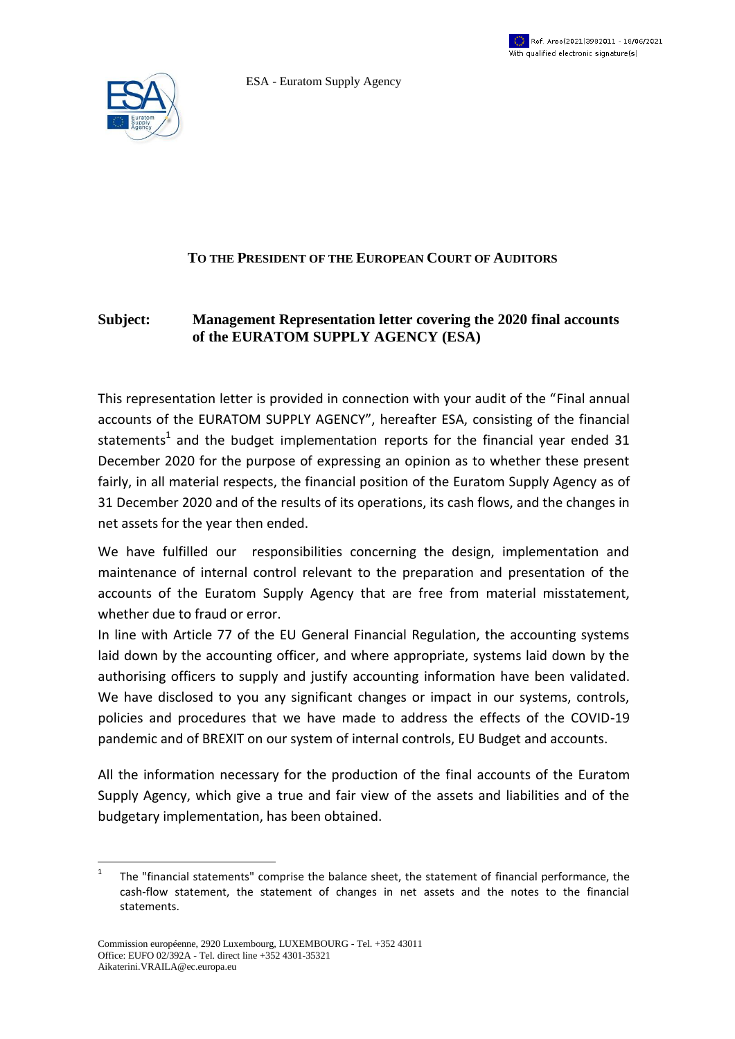

ESA - Euratom Supply Agency



## **TO THE PRESIDENT OF THE EUROPEAN COURT OF AUDITORS**

## **Subject: Management Representation letter covering the 2020 final accounts of the EURATOM SUPPLY AGENCY (ESA)**

This representation letter is provided in connection with your audit of the "Final annual accounts of the EURATOM SUPPLY AGENCY", hereafter ESA, consisting of the financial statements<sup>1</sup> and the budget implementation reports for the financial year ended 31 December 2020 for the purpose of expressing an opinion as to whether these present fairly, in all material respects, the financial position of the Euratom Supply Agency as of 31 December 2020 and of the results of its operations, its cash flows, and the changes in net assets for the year then ended.

We have fulfilled our responsibilities concerning the design, implementation and maintenance of internal control relevant to the preparation and presentation of the accounts of the Euratom Supply Agency that are free from material misstatement, whether due to fraud or error.

In line with Article 77 of the EU General Financial Regulation, the accounting systems laid down by the accounting officer, and where appropriate, systems laid down by the authorising officers to supply and justify accounting information have been validated. We have disclosed to you any significant changes or impact in our systems, controls, policies and procedures that we have made to address the effects of the COVID-19 pandemic and of BREXIT on our system of internal controls, EU Budget and accounts.

All the information necessary for the production of the final accounts of the Euratom Supply Agency, which give a true and fair view of the assets and liabilities and of the budgetary implementation, has been obtained.

 $\frac{1}{1}$ The "financial statements" comprise the balance sheet, the statement of financial performance, the cash-flow statement, the statement of changes in net assets and the notes to the financial statements.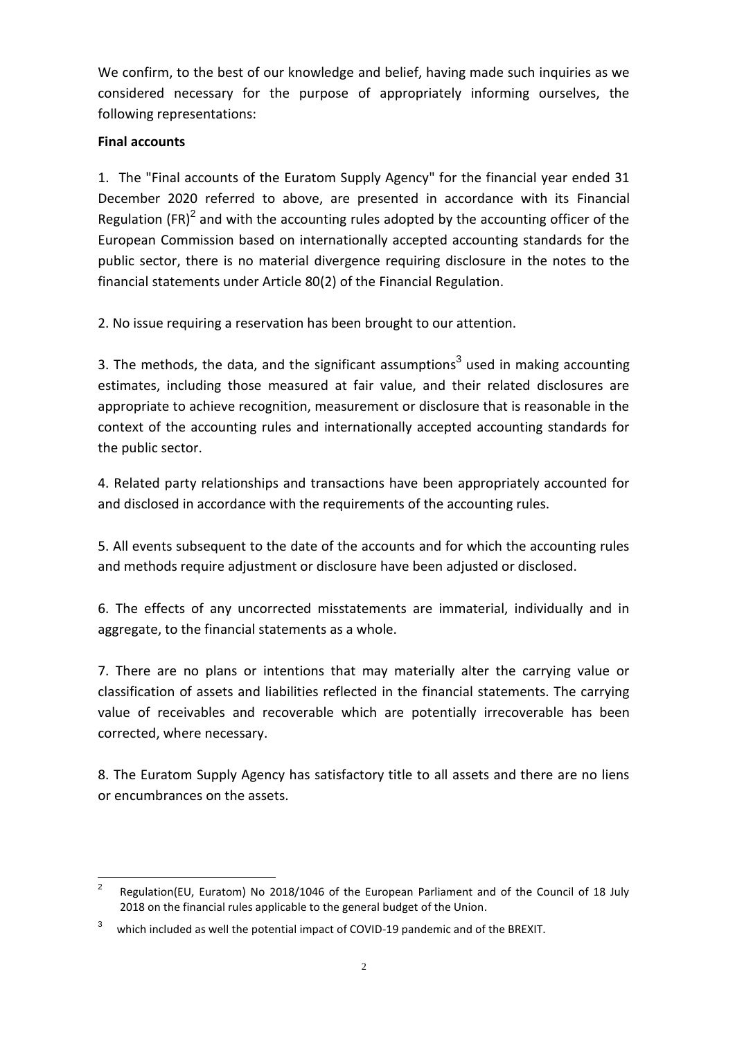We confirm, to the best of our knowledge and belief, having made such inquiries as we considered necessary for the purpose of appropriately informing ourselves, the following representations:

## **Final accounts**

1. The "Final accounts of the Euratom Supply Agency" for the financial year ended 31 December 2020 referred to above, are presented in accordance with its Financial Regulation (FR)<sup>2</sup> and with the accounting rules adopted by the accounting officer of the European Commission based on internationally accepted accounting standards for the public sector, there is no material divergence requiring disclosure in the notes to the financial statements under Article 80(2) of the Financial Regulation.

2. No issue requiring a reservation has been brought to our attention.

3. The methods, the data, and the significant assumptions<sup>3</sup> used in making accounting estimates, including those measured at fair value, and their related disclosures are appropriate to achieve recognition, measurement or disclosure that is reasonable in the context of the accounting rules and internationally accepted accounting standards for the public sector.

4. Related party relationships and transactions have been appropriately accounted for and disclosed in accordance with the requirements of the accounting rules.

5. All events subsequent to the date of the accounts and for which the accounting rules and methods require adjustment or disclosure have been adjusted or disclosed.

6. The effects of any uncorrected misstatements are immaterial, individually and in aggregate, to the financial statements as a whole.

7. There are no plans or intentions that may materially alter the carrying value or classification of assets and liabilities reflected in the financial statements. The carrying value of receivables and recoverable which are potentially irrecoverable has been corrected, where necessary.

8. The Euratom Supply Agency has satisfactory title to all assets and there are no liens or encumbrances on the assets.

 $\overline{a}$ 2 Regulation(EU, Euratom) No 2018/1046 of the European Parliament and of the Council of 18 July 2018 on the financial rules applicable to the general budget of the Union.

<sup>3</sup> which included as well the potential impact of COVID-19 pandemic and of the BREXIT.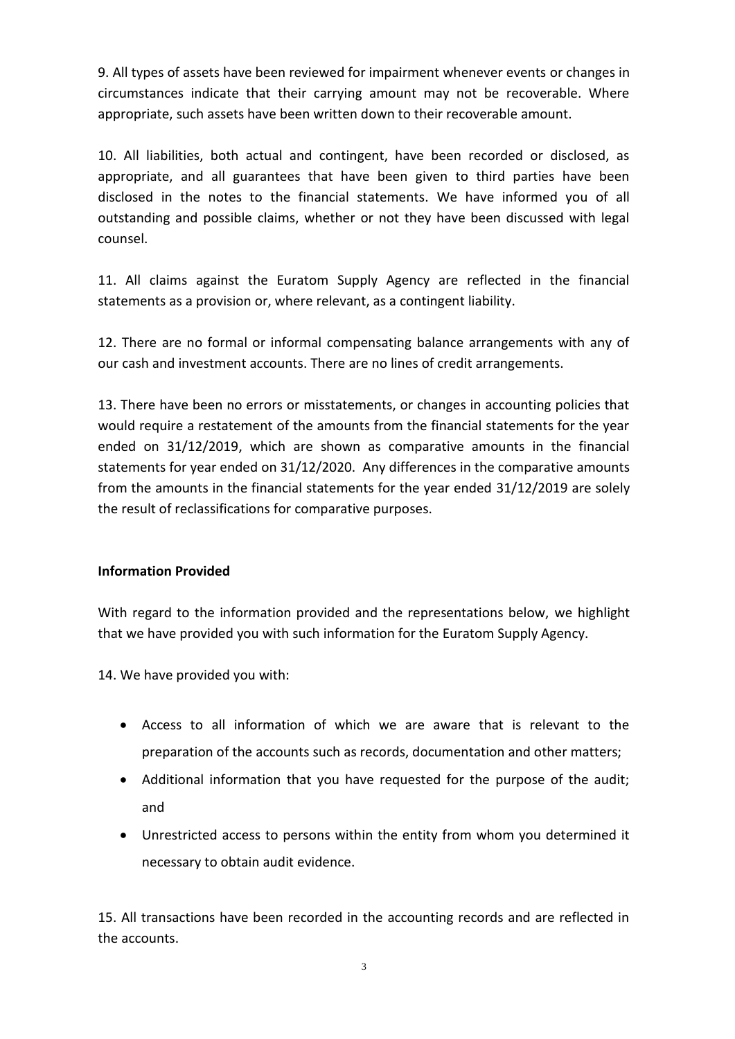9. All types of assets have been reviewed for impairment whenever events or changes in circumstances indicate that their carrying amount may not be recoverable. Where appropriate, such assets have been written down to their recoverable amount.

10. All liabilities, both actual and contingent, have been recorded or disclosed, as appropriate, and all guarantees that have been given to third parties have been disclosed in the notes to the financial statements. We have informed you of all outstanding and possible claims, whether or not they have been discussed with legal counsel.

11. All claims against the Euratom Supply Agency are reflected in the financial statements as a provision or, where relevant, as a contingent liability.

12. There are no formal or informal compensating balance arrangements with any of our cash and investment accounts. There are no lines of credit arrangements.

13. There have been no errors or misstatements, or changes in accounting policies that would require a restatement of the amounts from the financial statements for the year ended on 31/12/2019, which are shown as comparative amounts in the financial statements for year ended on 31/12/2020. Any differences in the comparative amounts from the amounts in the financial statements for the year ended 31/12/2019 are solely the result of reclassifications for comparative purposes.

## **Information Provided**

With regard to the information provided and the representations below, we highlight that we have provided you with such information for the Euratom Supply Agency.

14. We have provided you with:

- Access to all information of which we are aware that is relevant to the preparation of the accounts such as records, documentation and other matters;
- Additional information that you have requested for the purpose of the audit; and
- Unrestricted access to persons within the entity from whom you determined it necessary to obtain audit evidence.

15. All transactions have been recorded in the accounting records and are reflected in the accounts.